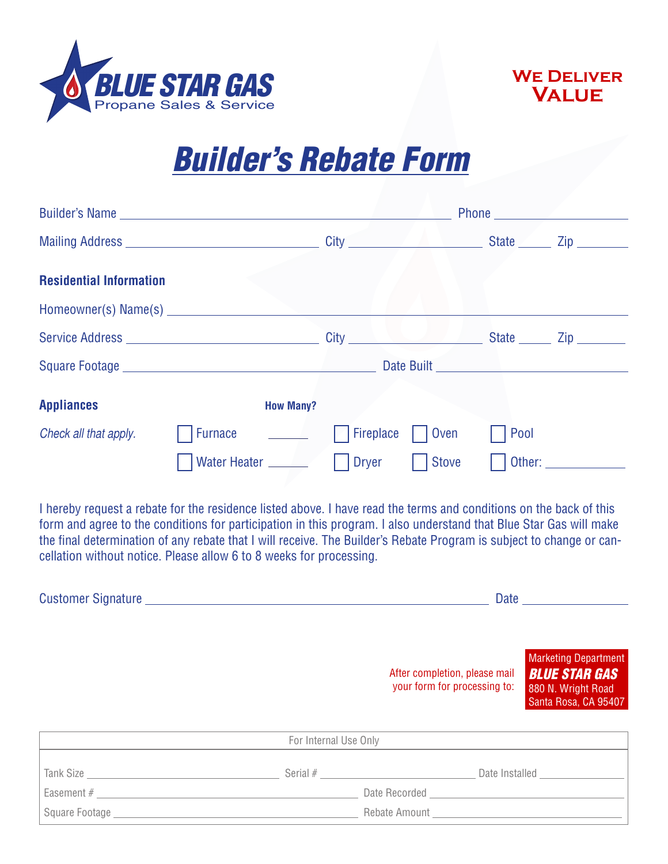



## *Builder's Rebate Form*

|                                | <b>Phone Contract Contract Contract Contract Contract Contract Contract Contract Contract Contract Contract Contract Contract Contract Contract Contract Contract Contract Contract Contract Contract Contract Contract Contra</b>   |                  |                |            |  |
|--------------------------------|--------------------------------------------------------------------------------------------------------------------------------------------------------------------------------------------------------------------------------------|------------------|----------------|------------|--|
|                                |                                                                                                                                                                                                                                      |                  |                |            |  |
| <b>Residential Information</b> |                                                                                                                                                                                                                                      |                  |                |            |  |
|                                |                                                                                                                                                                                                                                      |                  |                |            |  |
|                                |                                                                                                                                                                                                                                      |                  |                |            |  |
|                                |                                                                                                                                                                                                                                      |                  |                | Date Built |  |
| <b>Appliances</b>              | <b>How Many?</b>                                                                                                                                                                                                                     |                  |                |            |  |
| Check all that apply.          | Furnace <u>Internal Report of the set of the set of the set of the set of the set of the set of the set of the set of the set of the set of the set of the set of the set of the set of the set of the set of the set of the set</u> | <b>Fireplace</b> | $\vert$   Oven | Pool       |  |
|                                |                                                                                                                                                                                                                                      | Dryer            | <b>Stove</b>   |            |  |

I hereby request a rebate for the residence listed above. I have read the terms and conditions on the back of this form and agree to the conditions for participation in this program. I also understand that Blue Star Gas will make the final determination of any rebate that I will receive. The Builder's Rebate Program is subject to change or cancellation without notice. Please allow 6 to 8 weeks for processing.

| Customer Signature __________                                                                                                                                            |                       |                                                               | Date and the state of the state of the state of the state of the state of the state of the state of the state o |  |  |
|--------------------------------------------------------------------------------------------------------------------------------------------------------------------------|-----------------------|---------------------------------------------------------------|-----------------------------------------------------------------------------------------------------------------|--|--|
|                                                                                                                                                                          |                       | After completion, please mail<br>your form for processing to: | Marketing Department<br><b>BLUE STAR GAS</b><br>880 N. Wright Road<br>Santa Rosa, CA 95407                      |  |  |
|                                                                                                                                                                          | For Internal Use Only |                                                               |                                                                                                                 |  |  |
| Tank Size <b>Size Size Size Size Size Size Size Size Size Size Size Size Size Size Size Size Size Size Size Size Size Size Size Size Size Size Size Size Size Size S</b> |                       |                                                               | Date Installed                                                                                                  |  |  |
| Easement #                                                                                                                                                               |                       | Date Recorded                                                 |                                                                                                                 |  |  |

Square Footage **Rebate Amount** Square Footage **Rebate Amount**